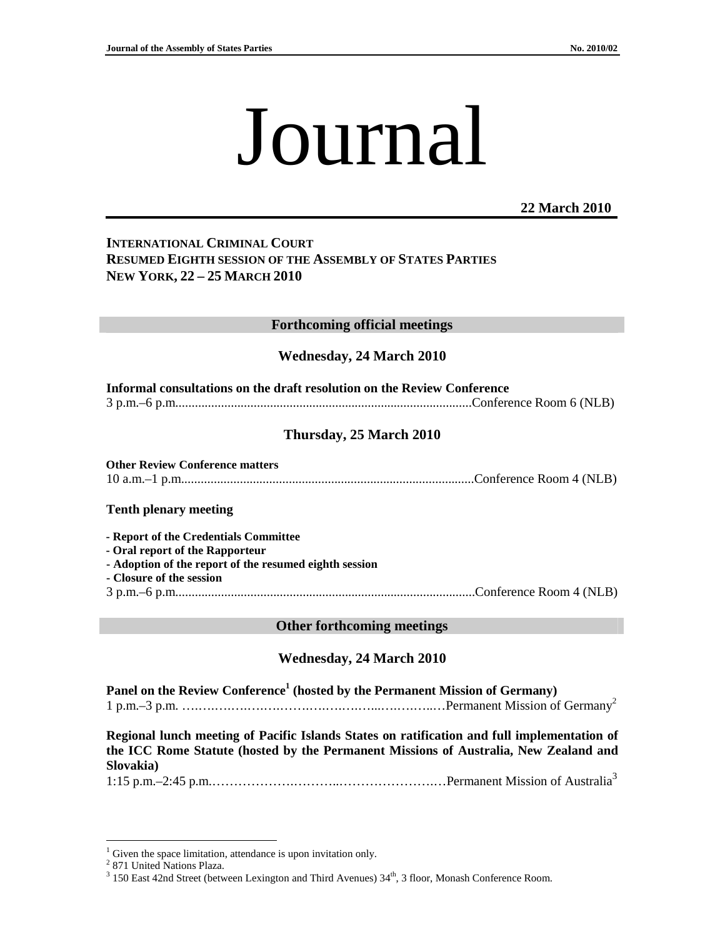# Journal

## **22 March 2010**

# **INTERNATIONAL CRIMINAL COURT RESUMED EIGHTH SESSION OF THE ASSEMBLY OF STATES PARTIES NEW YORK, 22 – 25 MARCH 2010**

## **Forthcoming official meetings**

## **Wednesday, 24 March 2010**

| Informal consultations on the draft resolution on the Review Conference |  |
|-------------------------------------------------------------------------|--|
|                                                                         |  |

# **Thursday, 25 March 2010**

**Other Review Conference matters**  10 a.m.–1 p.m..........................................................................................Conference Room 4 (NLB)

#### **Tenth plenary meeting**

**- Report of the Credentials Committee** 

**- Oral report of the Rapporteur** 

- **Adoption of the report of the resumed eighth session**
- **Closure of the session**
- 3 p.m.–6 p.m............................................................................................Conference Room 4 (NLB)

#### **Other forthcoming meetings**

## **Wednesday, 24 March 2010**

**Panel on the Review Conference<sup>1</sup> (hosted by the Permanent Mission of Germany)**  1 p.m.–3 p.m. ….….….….….….…….….….….…...….….…..…Permanent Mission of Germany<sup>2</sup>

**Regional lunch meeting of Pacific Islands States on ratification and full implementation of the ICC Rome Statute (hosted by the Permanent Missions of Australia, New Zealand and Slovakia)** 

1:15 p.m.–2:45 p.m.……………….………..………………….…Permanent Mission of Australia<sup>3</sup>

 $\overline{a}$ 

<sup>&</sup>lt;sup>1</sup> Given the space limitation, attendance is upon invitation only.

<sup>&</sup>lt;sup>2</sup> 871 United Nations Plaza.

<sup>&</sup>lt;sup>3</sup> 150 East 42nd Street (between Lexington and Third Avenues) 34<sup>th</sup>, 3 floor, Monash Conference Room.